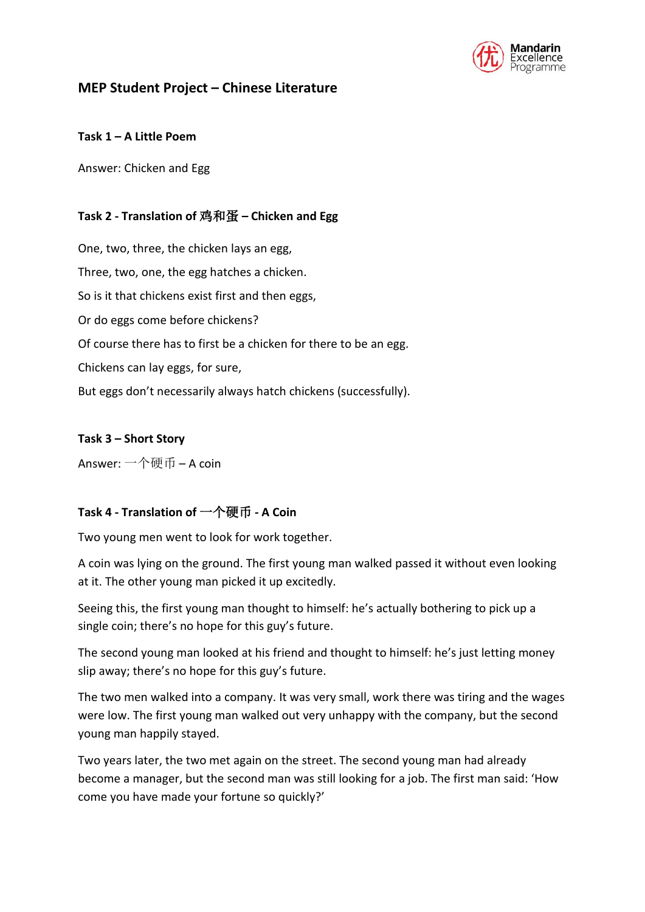

# **MEP Student Project – Chinese Literature**

# **Task 1 – A Little Poem**

Answer: Chicken and Egg

# **Task 2 - Translation of** 鸡和蛋 **– Chicken and Egg**

One, two, three, the chicken lays an egg, Three, two, one, the egg hatches a chicken. So is it that chickens exist first and then eggs, Or do eggs come before chickens? Of course there has to first be a chicken for there to be an egg. Chickens can lay eggs, for sure, But eggs don't necessarily always hatch chickens (successfully).

#### **Task 3 – Short Story**

Answer: 一个硬币 – A coin

# **Task 4 - Translation of** 一个硬币 **- A Coin**

Two young men went to look for work together.

A coin was lying on the ground. The first young man walked passed it without even looking at it. The other young man picked it up excitedly.

Seeing this, the first young man thought to himself: he's actually bothering to pick up a single coin; there's no hope for this guy's future.

The second young man looked at his friend and thought to himself: he's just letting money slip away; there's no hope for this guy's future.

The two men walked into a company. It was very small, work there was tiring and the wages were low. The first young man walked out very unhappy with the company, but the second young man happily stayed.

Two years later, the two met again on the street. The second young man had already become a manager, but the second man was still looking for a job. The first man said: 'How come you have made your fortune so quickly?'